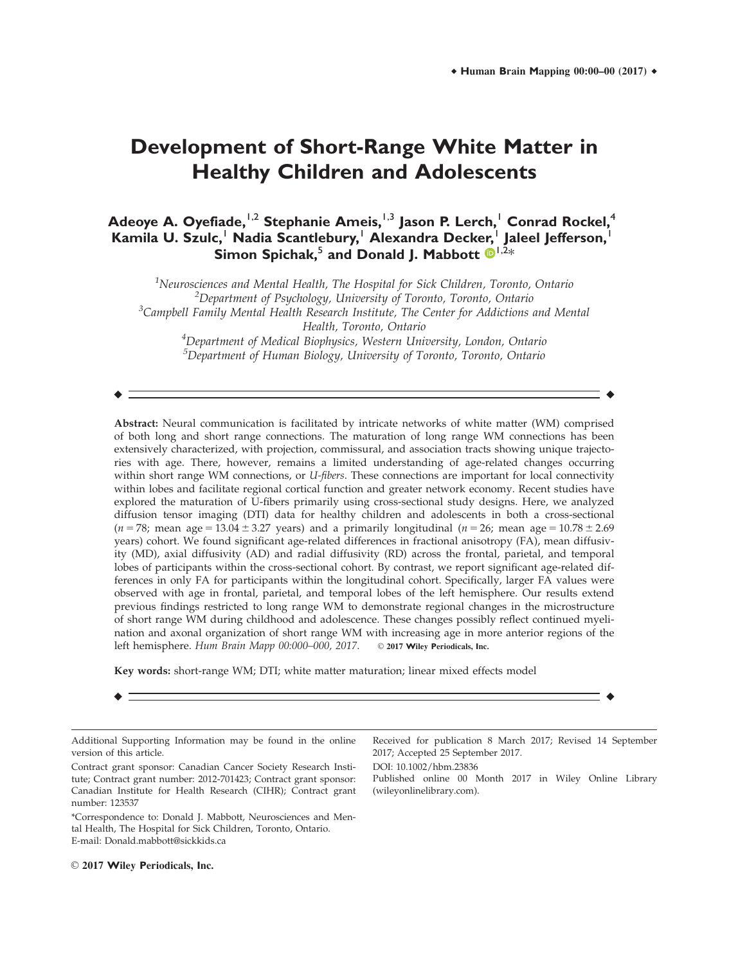# **Development of Short-Range White Matter in Healthy Children and Adolescents**

**Adeoye A. Oyefiade,**1,2 **Stephanie Ameis,**1,3 **Jason P. Lerch,**<sup>1</sup> **Conrad Rockel,**<sup>4</sup> **Kamila U. Szulc,**<sup>1</sup> **Nadia Scantlebury,**<sup>1</sup> **Alexandra Decker,**<sup>1</sup> **Jaleel Jefferson,**<sup>1</sup> **Simon Spichak,<sup>5</sup> and Donald J. Mabbott**  $\mathbf{D}^{1,2}$ \*

 $^{\rm 1}$ Neurosciences and Mental Health, The Hospital for Sick Children, Toronto, Ontario  $^2$ Department of Psychology, University of Toronto, Toronto, Ontario  $3$ Campbell Family Mental Health Research Institute, The Center for Addictions and Mental Health, Toronto, Ontario

4 Department of Medical Biophysics, Western University, London, Ontario <sup>5</sup>Department of Human Biology, University of Toronto, Toronto, Ontario

r r

Abstract: Neural communication is facilitated by intricate networks of white matter (WM) comprised of both long and short range connections. The maturation of long range WM connections has been extensively characterized, with projection, commissural, and association tracts showing unique trajectories with age. There, however, remains a limited understanding of age-related changes occurring within short range WM connections, or *U-fibers*. These connections are important for local connectivity within lobes and facilitate regional cortical function and greater network economy. Recent studies have explored the maturation of U-fibers primarily using cross-sectional study designs. Here, we analyzed diffusion tensor imaging (DTI) data for healthy children and adolescents in both a cross-sectional  $(n = 78; \text{ mean age} = 13.04 \pm 3.27 \text{ years})$  and a primarily longitudinal  $(n = 26; \text{ mean age} = 10.78 \pm 2.69)$ years) cohort. We found significant age-related differences in fractional anisotropy (FA), mean diffusivity (MD), axial diffusivity (AD) and radial diffusivity (RD) across the frontal, parietal, and temporal lobes of participants within the cross-sectional cohort. By contrast, we report significant age-related differences in only FA for participants within the longitudinal cohort. Specifically, larger FA values were observed with age in frontal, parietal, and temporal lobes of the left hemisphere. Our results extend previous findings restricted to long range WM to demonstrate regional changes in the microstructure of short range WM during childhood and adolescence. These changes possibly reflect continued myelination and axonal organization of short range WM with increasing age in more anterior regions of the left hemisphere. Hum Brain Mapp 00:000-000, 2017. © 2017 Wiley Periodicals, Inc.

r r

Key words: short-range WM; DTI; white matter maturation; linear mixed effects model

Additional Supporting Information may be found in the online version of this article.

Contract grant sponsor: Canadian Cancer Society Research Institute; Contract grant number: 2012-701423; Contract grant sponsor: Canadian Institute for Health Research (CIHR); Contract grant number: 123537

\*Correspondence to: Donald J. Mabbott, Neurosciences and Mental Health, The Hospital for Sick Children, Toronto, Ontario. E-mail: Donald.mabbott@sickkids.ca

Received for publication 8 March 2017; Revised 14 September 2017; Accepted 25 September 2017.

DOI: 10.1002/hbm.23836 Published online 00 Month 2017 in Wiley Online Library (wileyonlinelibrary.com).

 $\odot$  2017 Wiley Periodicals, Inc.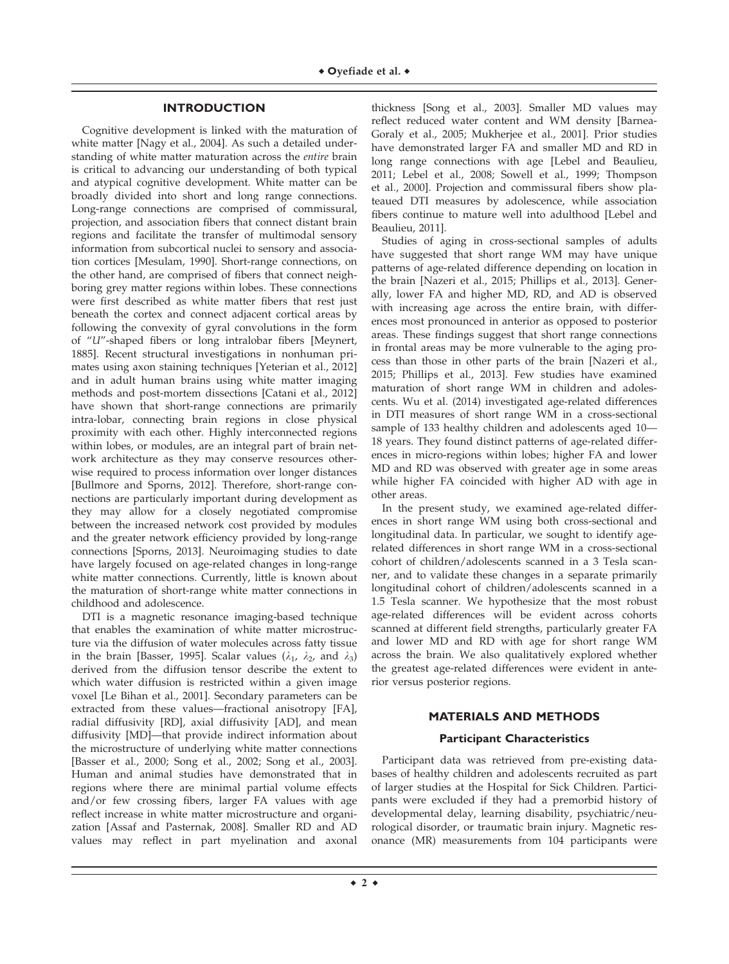## **INTRODUCTION**

Cognitive development is linked with the maturation of white matter [Nagy et al., 2004]. As such a detailed understanding of white matter maturation across the entire brain is critical to advancing our understanding of both typical and atypical cognitive development. White matter can be broadly divided into short and long range connections. Long-range connections are comprised of commissural, projection, and association fibers that connect distant brain regions and facilitate the transfer of multimodal sensory information from subcortical nuclei to sensory and association cortices [Mesulam, 1990]. Short-range connections, on the other hand, are comprised of fibers that connect neighboring grey matter regions within lobes. These connections were first described as white matter fibers that rest just beneath the cortex and connect adjacent cortical areas by following the convexity of gyral convolutions in the form of "U"-shaped fibers or long intralobar fibers [Meynert, 1885]. Recent structural investigations in nonhuman primates using axon staining techniques [Yeterian et al., 2012] and in adult human brains using white matter imaging methods and post-mortem dissections [Catani et al., 2012] have shown that short-range connections are primarily intra-lobar, connecting brain regions in close physical proximity with each other. Highly interconnected regions within lobes, or modules, are an integral part of brain network architecture as they may conserve resources otherwise required to process information over longer distances [Bullmore and Sporns, 2012]. Therefore, short-range connections are particularly important during development as they may allow for a closely negotiated compromise between the increased network cost provided by modules and the greater network efficiency provided by long-range connections [Sporns, 2013]. Neuroimaging studies to date have largely focused on age-related changes in long-range white matter connections. Currently, little is known about the maturation of short-range white matter connections in childhood and adolescence.

DTI is a magnetic resonance imaging-based technique that enables the examination of white matter microstructure via the diffusion of water molecules across fatty tissue in the brain [Basser, 1995]. Scalar values ( $\lambda_1$ ,  $\lambda_2$ , and  $\lambda_3$ ) derived from the diffusion tensor describe the extent to which water diffusion is restricted within a given image voxel [Le Bihan et al., 2001]. Secondary parameters can be extracted from these values—fractional anisotropy [FA], radial diffusivity [RD], axial diffusivity [AD], and mean diffusivity [MD]—that provide indirect information about the microstructure of underlying white matter connections [Basser et al., 2000; Song et al., 2002; Song et al., 2003]. Human and animal studies have demonstrated that in regions where there are minimal partial volume effects and/or few crossing fibers, larger FA values with age reflect increase in white matter microstructure and organization [Assaf and Pasternak, 2008]. Smaller RD and AD values may reflect in part myelination and axonal

thickness [Song et al., 2003]. Smaller MD values may reflect reduced water content and WM density [Barnea-Goraly et al., 2005; Mukherjee et al., 2001]. Prior studies have demonstrated larger FA and smaller MD and RD in long range connections with age [Lebel and Beaulieu, 2011; Lebel et al., 2008; Sowell et al., 1999; Thompson et al., 2000]. Projection and commissural fibers show plateaued DTI measures by adolescence, while association fibers continue to mature well into adulthood [Lebel and Beaulieu, 2011].

Studies of aging in cross-sectional samples of adults have suggested that short range WM may have unique patterns of age-related difference depending on location in the brain [Nazeri et al., 2015; Phillips et al., 2013]. Generally, lower FA and higher MD, RD, and AD is observed with increasing age across the entire brain, with differences most pronounced in anterior as opposed to posterior areas. These findings suggest that short range connections in frontal areas may be more vulnerable to the aging process than those in other parts of the brain [Nazeri et al., 2015; Phillips et al., 2013]. Few studies have examined maturation of short range WM in children and adolescents. Wu et al. (2014) investigated age-related differences in DTI measures of short range WM in a cross-sectional sample of 133 healthy children and adolescents aged 10— 18 years. They found distinct patterns of age-related differences in micro-regions within lobes; higher FA and lower MD and RD was observed with greater age in some areas while higher FA coincided with higher AD with age in other areas.

In the present study, we examined age-related differences in short range WM using both cross-sectional and longitudinal data. In particular, we sought to identify agerelated differences in short range WM in a cross-sectional cohort of children/adolescents scanned in a 3 Tesla scanner, and to validate these changes in a separate primarily longitudinal cohort of children/adolescents scanned in a 1.5 Tesla scanner. We hypothesize that the most robust age-related differences will be evident across cohorts scanned at different field strengths, particularly greater FA and lower MD and RD with age for short range WM across the brain. We also qualitatively explored whether the greatest age-related differences were evident in anterior versus posterior regions.

## **MATERIALS AND METHODS**

#### **Participant Characteristics**

Participant data was retrieved from pre-existing databases of healthy children and adolescents recruited as part of larger studies at the Hospital for Sick Children. Participants were excluded if they had a premorbid history of developmental delay, learning disability, psychiatric/neurological disorder, or traumatic brain injury. Magnetic resonance (MR) measurements from 104 participants were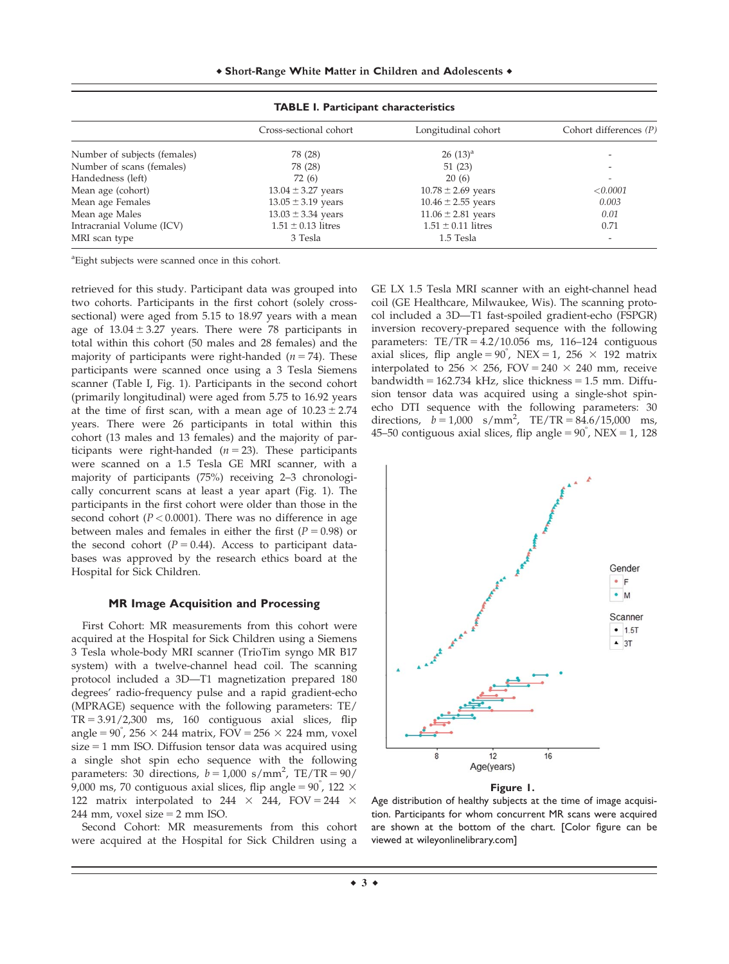| <b>IABLE I. Farticipalit characteristics</b> |                        |                        |                          |  |  |  |
|----------------------------------------------|------------------------|------------------------|--------------------------|--|--|--|
|                                              | Cross-sectional cohort | Longitudinal cohort    | Cohort differences $(P)$ |  |  |  |
| Number of subjects (females)                 | 78 (28)                | $26(13)^{a}$           |                          |  |  |  |
| Number of scans (females)                    | 78 (28)                | 51(23)                 |                          |  |  |  |
| Handedness (left)                            | 72 (6)                 | 20(6)                  | $\overline{\phantom{a}}$ |  |  |  |
| Mean age (cohort)                            | $13.04 \pm 3.27$ years | $10.78 \pm 2.69$ years | < 0.0001                 |  |  |  |
| Mean age Females                             | $13.05 \pm 3.19$ years | $10.46 \pm 2.55$ years | 0.003                    |  |  |  |
| Mean age Males                               | $13.03 \pm 3.34$ years | $11.06 \pm 2.81$ years | 0.01                     |  |  |  |
| Intracranial Volume (ICV)                    | $1.51 \pm 0.13$ litres | $1.51 \pm 0.11$ litres | 0.71                     |  |  |  |
| MRI scan type                                | 3 Tesla                | 1.5 Tesla              | $\overline{a}$           |  |  |  |

**TABLE I. Participant characteristics**

<sup>a</sup> Eight subjects were scanned once in this cohort.

retrieved for this study. Participant data was grouped into two cohorts. Participants in the first cohort (solely crosssectional) were aged from 5.15 to 18.97 years with a mean age of  $13.04 \pm 3.27$  years. There were 78 participants in total within this cohort (50 males and 28 females) and the majority of participants were right-handed  $(n = 74)$ . These participants were scanned once using a 3 Tesla Siemens scanner (Table I, Fig. 1). Participants in the second cohort (primarily longitudinal) were aged from 5.75 to 16.92 years at the time of first scan, with a mean age of  $10.23 \pm 2.74$ years. There were 26 participants in total within this cohort (13 males and 13 females) and the majority of participants were right-handed ( $n = 23$ ). These participants were scanned on a 1.5 Tesla GE MRI scanner, with a majority of participants (75%) receiving 2–3 chronologically concurrent scans at least a year apart (Fig. 1). The participants in the first cohort were older than those in the second cohort ( $P < 0.0001$ ). There was no difference in age between males and females in either the first ( $P = 0.98$ ) or the second cohort ( $P = 0.44$ ). Access to participant databases was approved by the research ethics board at the Hospital for Sick Children.

## **MR Image Acquisition and Processing**

First Cohort: MR measurements from this cohort were acquired at the Hospital for Sick Children using a Siemens 3 Tesla whole-body MRI scanner (TrioTim syngo MR B17 system) with a twelve-channel head coil. The scanning protocol included a 3D—T1 magnetization prepared 180 degrees' radio-frequency pulse and a rapid gradient-echo (MPRAGE) sequence with the following parameters: TE/  $TR = 3.91/2,300$  ms, 160 contiguous axial slices, flip angle =  $90^{\degree}$ , 256  $\times$  244 matrix, FOV = 256  $\times$  224 mm, voxel  $size = 1$  mm ISO. Diffusion tensor data was acquired using a single shot spin echo sequence with the following parameters: 30 directions,  $b = 1,000 \text{ s/mm}^2$ , TE/TR = 90/  $9,000$  ms, 70 contiguous axial slices, flip angle =  $90^{\degree}$ , 122  $\times$ 122 matrix interpolated to 244  $\times$  244, FOV = 244  $\times$ 244 mm, voxel size  $= 2$  mm ISO.

Second Cohort: MR measurements from this cohort were acquired at the Hospital for Sick Children using a

GE LX 1.5 Tesla MRI scanner with an eight-channel head coil (GE Healthcare, Milwaukee, Wis). The scanning protocol included a 3D—T1 fast-spoiled gradient-echo (FSPGR) inversion recovery-prepared sequence with the following parameters:  $TE/TR = 4.2/10.056$  ms, 116-124 contiguous axial slices, flip angle =  $90^{\degree}$ , NEX = 1, 256  $\times$  192 matrix interpolated to 256  $\times$  256, FOV = 240  $\times$  240 mm, receive bandwidth =  $162.734$  kHz, slice thickness =  $1.5$  mm. Diffusion tensor data was acquired using a single-shot spinecho DTI sequence with the following parameters: 30 directions,  $b = 1,000 \text{ s/mm}^2$ , TE/TR = 84.6/15,000 ms, 45–50 contiguous axial slices, flip angle =  $90^{\degree}$ , NEX = 1, 128



**Figure 1.**

Age distribution of healthy subjects at the time of image acquisition. Participants for whom concurrent MR scans were acquired are shown at the bottom of the chart. [Color figure can be viewed at [wileyonlinelibrary.com](http://wileyonlinelibrary.com)]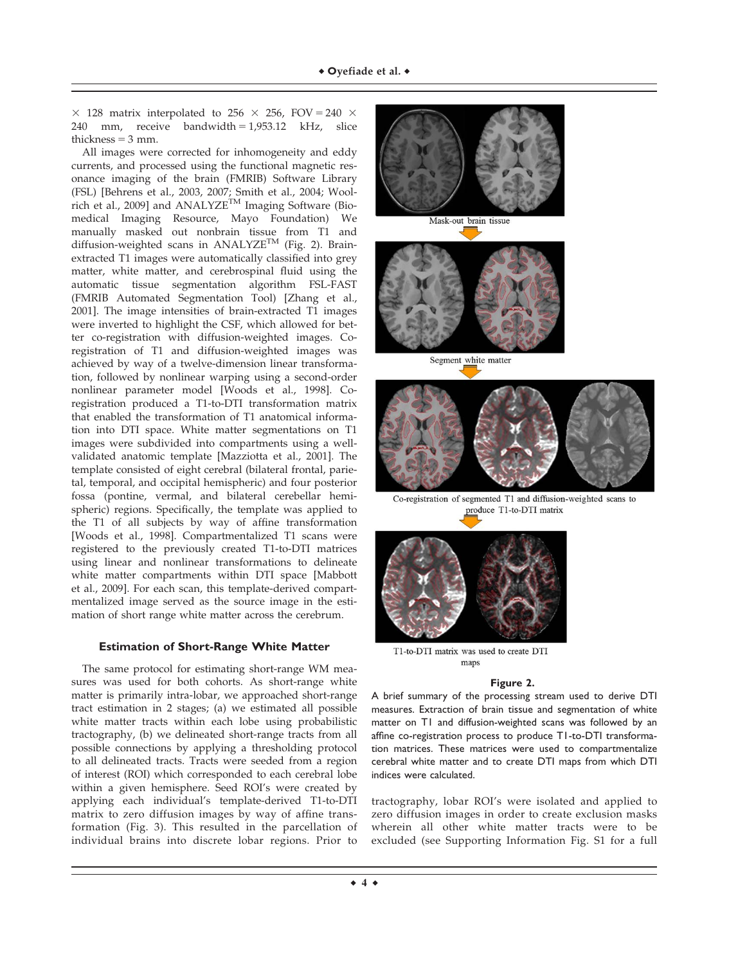$\times$  128 matrix interpolated to 256  $\times$  256, FOV = 240  $\times$ 240 mm, receive bandwidth  $= 1.953.12$  kHz, slice thickness  $= 3$  mm.

All images were corrected for inhomogeneity and eddy currents, and processed using the functional magnetic resonance imaging of the brain (FMRIB) Software Library (FSL) [Behrens et al., 2003, 2007; Smith et al., 2004; Woolrich et al., 2009] and ANALYZE<sup>TM</sup> Imaging Software (Biomedical Imaging Resource, Mayo Foundation) We manually masked out nonbrain tissue from T1 and diffusion-weighted scans in ANALYZETM (Fig. 2). Brainextracted T1 images were automatically classified into grey matter, white matter, and cerebrospinal fluid using the automatic tissue segmentation algorithm FSL-FAST (FMRIB Automated Segmentation Tool) [Zhang et al., 2001]. The image intensities of brain-extracted T1 images were inverted to highlight the CSF, which allowed for better co-registration with diffusion-weighted images. Coregistration of T1 and diffusion-weighted images was achieved by way of a twelve-dimension linear transformation, followed by nonlinear warping using a second-order nonlinear parameter model [Woods et al., 1998]. Coregistration produced a T1-to-DTI transformation matrix that enabled the transformation of T1 anatomical information into DTI space. White matter segmentations on T1 images were subdivided into compartments using a wellvalidated anatomic template [Mazziotta et al., 2001]. The template consisted of eight cerebral (bilateral frontal, parietal, temporal, and occipital hemispheric) and four posterior fossa (pontine, vermal, and bilateral cerebellar hemispheric) regions. Specifically, the template was applied to the T1 of all subjects by way of affine transformation [Woods et al., 1998]. Compartmentalized T1 scans were registered to the previously created T1-to-DTI matrices using linear and nonlinear transformations to delineate white matter compartments within DTI space [Mabbott et al., 2009]. For each scan, this template-derived compartmentalized image served as the source image in the estimation of short range white matter across the cerebrum.

## **Estimation of Short-Range White Matter**

The same protocol for estimating short-range WM measures was used for both cohorts. As short-range white matter is primarily intra-lobar, we approached short-range tract estimation in 2 stages; (a) we estimated all possible white matter tracts within each lobe using probabilistic tractography, (b) we delineated short-range tracts from all possible connections by applying a thresholding protocol to all delineated tracts. Tracts were seeded from a region of interest (ROI) which corresponded to each cerebral lobe within a given hemisphere. Seed ROI's were created by applying each individual's template-derived T1-to-DTI matrix to zero diffusion images by way of affine transformation (Fig. 3). This resulted in the parcellation of individual brains into discrete lobar regions. Prior to



Segment white matter



Co-registration of segmented T1 and diffusion-weighted scans to produce T1-to-DTI matrix



T1-to-DTI matrix was used to create DTI maps

#### **Figure 2.**

A brief summary of the processing stream used to derive DTI measures. Extraction of brain tissue and segmentation of white matter on T1 and diffusion-weighted scans was followed by an affine co-registration process to produce T1-to-DTI transformation matrices. These matrices were used to compartmentalize cerebral white matter and to create DTI maps from which DTI indices were calculated.

tractography, lobar ROI's were isolated and applied to zero diffusion images in order to create exclusion masks wherein all other white matter tracts were to be excluded (see Supporting Information Fig. S1 for a full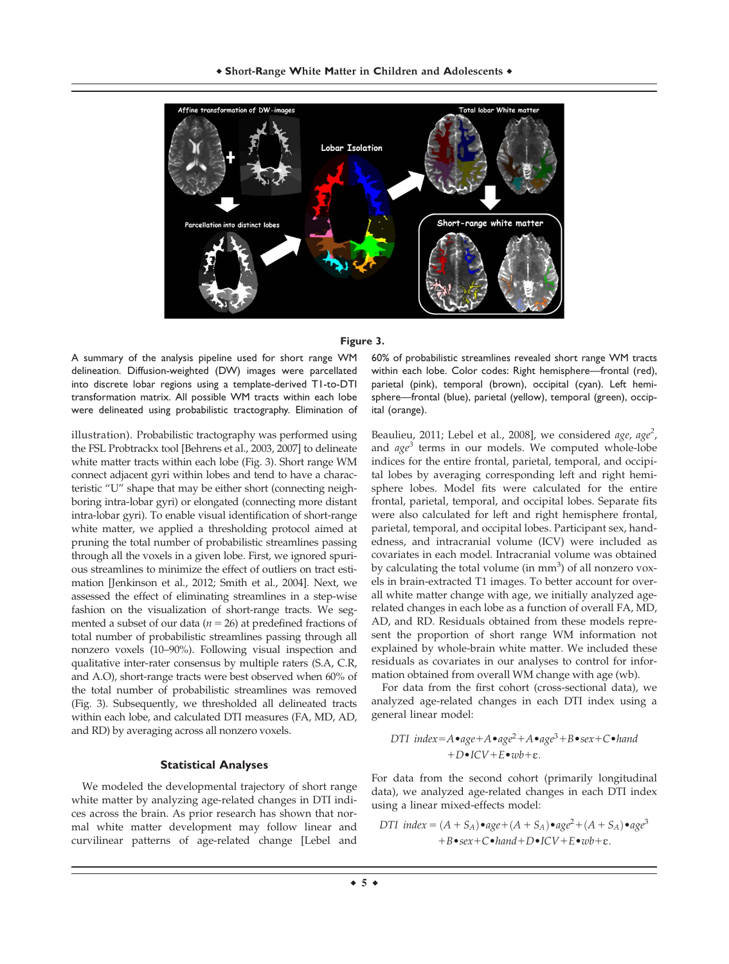



A summary of the analysis pipeline used for short range WM delineation. Diffusion-weighted (DW) images were parcellated into discrete lobar regions using a template-derived T1-to-DTI transformation matrix. All possible WM tracts within each lobe were delineated using probabilistic tractography. Elimination of

illustration). Probabilistic tractography was performed using the FSL Probtrackx tool [Behrens et al., 2003, 2007] to delineate white matter tracts within each lobe (Fig. 3). Short range WM connect adjacent gyri within lobes and tend to have a characteristic "U" shape that may be either short (connecting neighboring intra-lobar gyri) or elongated (connecting more distant intra-lobar gyri). To enable visual identification of short-range white matter, we applied a thresholding protocol aimed at pruning the total number of probabilistic streamlines passing through all the voxels in a given lobe. First, we ignored spurious streamlines to minimize the effect of outliers on tract estimation [Jenkinson et al., 2012; Smith et al., 2004]. Next, we assessed the effect of eliminating streamlines in a step-wise fashion on the visualization of short-range tracts. We segmented a subset of our data ( $n = 26$ ) at predefined fractions of total number of probabilistic streamlines passing through all nonzero voxels (10–90%). Following visual inspection and qualitative inter-rater consensus by multiple raters (S.A, C.R, and A.O), short-range tracts were best observed when 60% of the total number of probabilistic streamlines was removed (Fig. 3). Subsequently, we thresholded all delineated tracts within each lobe, and calculated DTI measures (FA, MD, AD, and RD) by averaging across all nonzero voxels.

## **Statistical Analyses**

We modeled the developmental trajectory of short range white matter by analyzing age-related changes in DTI indices across the brain. As prior research has shown that normal white matter development may follow linear and curvilinear patterns of age-related change [Lebel and 60% of probabilistic streamlines revealed short range WM tracts within each lobe. Color codes: Right hemisphere—frontal (red), parietal (pink), temporal (brown), occipital (cyan). Left hemisphere—frontal (blue), parietal (yellow), temporal (green), occipital (orange).

Beaulieu, 2011; Lebel et al., 2008], we considered age, age<sup>2</sup>, and  $age<sup>3</sup>$  terms in our models. We computed whole-lobe indices for the entire frontal, parietal, temporal, and occipital lobes by averaging corresponding left and right hemisphere lobes. Model fits were calculated for the entire frontal, parietal, temporal, and occipital lobes. Separate fits were also calculated for left and right hemisphere frontal, parietal, temporal, and occipital lobes. Participant sex, handedness, and intracranial volume (ICV) were included as covariates in each model. Intracranial volume was obtained by calculating the total volume (in  $mm<sup>3</sup>$ ) of all nonzero voxels in brain-extracted T1 images. To better account for overall white matter change with age, we initially analyzed agerelated changes in each lobe as a function of overall FA, MD, AD, and RD. Residuals obtained from these models represent the proportion of short range WM information not explained by whole-brain white matter. We included these residuals as covariates in our analyses to control for information obtained from overall WM change with age (wb).

For data from the first cohort (cross-sectional data), we analyzed age-related changes in each DTI index using a general linear model:

$$
DTI index=A \bullet age + A \bullet age^{2} + A \bullet age^{3} + B \bullet sex + C \bullet hand + D \bullet ICV + E \bullet wb + \varepsilon.
$$

For data from the second cohort (primarily longitudinal data), we analyzed age-related changes in each DTI index using a linear mixed-effects model:

$$
DTI\ index = (A + S_A) \bullet age + (A + S_A) \bullet age^2 + (A + S_A) \bullet age^3
$$
  
+ 
$$
B \bullet sex + C \bullet hand + D \bullet ICV + E \bullet wb + \varepsilon.
$$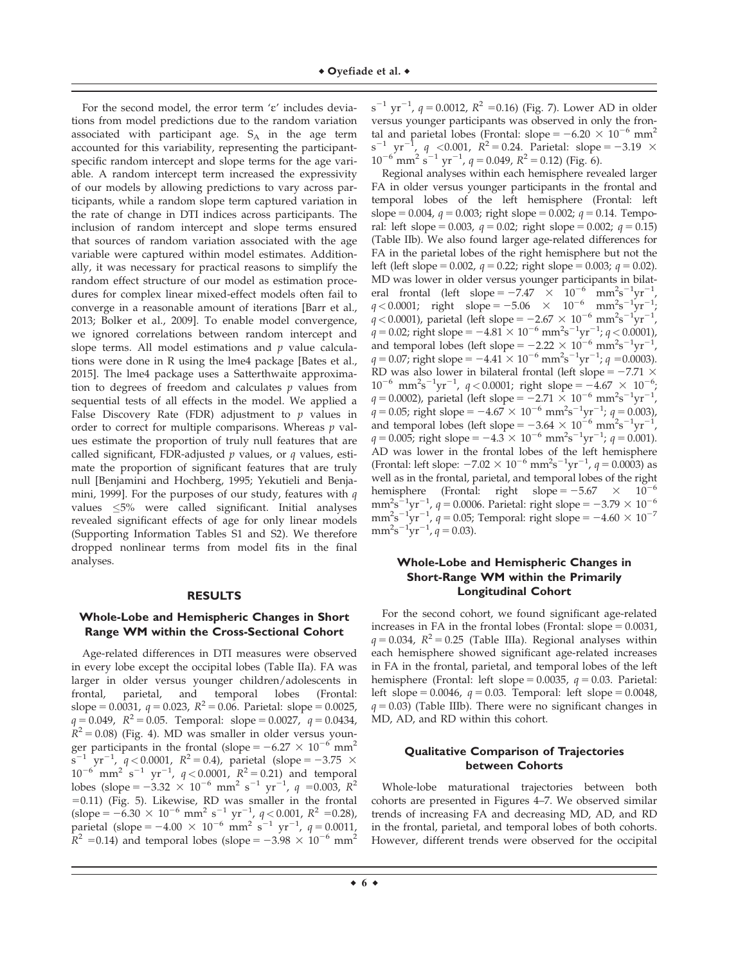For the second model, the error term ' $\varepsilon$ ' includes deviations from model predictions due to the random variation associated with participant age.  $S_A$  in the age term accounted for this variability, representing the participantspecific random intercept and slope terms for the age variable. A random intercept term increased the expressivity of our models by allowing predictions to vary across participants, while a random slope term captured variation in the rate of change in DTI indices across participants. The inclusion of random intercept and slope terms ensured that sources of random variation associated with the age variable were captured within model estimates. Additionally, it was necessary for practical reasons to simplify the random effect structure of our model as estimation procedures for complex linear mixed-effect models often fail to converge in a reasonable amount of iterations [Barr et al., 2013; Bolker et al., 2009]. To enable model convergence, we ignored correlations between random intercept and slope terms. All model estimations and  $p$  value calculations were done in R using the lme4 package [Bates et al., 2015]. The lme4 package uses a Satterthwaite approximation to degrees of freedom and calculates  $p$  values from sequential tests of all effects in the model. We applied a False Discovery Rate (FDR) adjustment to  $p$  values in order to correct for multiple comparisons. Whereas  $p$  values estimate the proportion of truly null features that are called significant, FDR-adjusted  $p$  values, or  $q$  values, estimate the proportion of significant features that are truly null [Benjamini and Hochberg, 1995; Yekutieli and Benjamini, 1999]. For the purposes of our study, features with q values  $\leq$ 5% were called significant. Initial analyses revealed significant effects of age for only linear models (Supporting Information Tables S1 and S2). We therefore dropped nonlinear terms from model fits in the final analyses.

## **RESULTS**

## **Whole-Lobe and Hemispheric Changes in Short Range WM within the Cross-Sectional Cohort**

Age-related differences in DTI measures were observed in every lobe except the occipital lobes (Table IIa). FA was larger in older versus younger children/adolescents in frontal, parietal, and temporal lobes (Frontal: slope = 0.0031,  $q = 0.023$ ,  $R^2 = 0.06$ . Parietal: slope = 0.0025,  $q = 0.049$ ,  $R^2 = 0.05$ . Temporal: slope = 0.0027,  $q = 0.0434$ ,  $R^2 = 0.08$ ) (Fig. 4). MD was smaller in older versus younger participants in the frontal (slope =  $-6.27 \times 10^{-6}$  mm<sup>2</sup>  $\sin^{-1} \text{yr}^{-1}$ ,  $q < 0.0001$ ,  $R^2 = 0.4$ ), parietal (slope = -3.75  $\times$  $10^{-6}$  mm<sup>2</sup> s<sup>-1</sup> yr<sup>-1</sup>, q < 0.0001, R<sup>2</sup> = 0.21) and temporal lobes (slope =  $-3.32 \times 10^{-6}$  mm<sup>2</sup> s<sup>-1</sup> yr<sup>-1</sup>, q =0.003, R<sup>2</sup>  $=0.11$ ) (Fig. 5). Likewise, RD was smaller in the frontal  $\text{(slope} = -6.30 \times 10^{-6} \text{ mm}^2 \text{ s}^{-1} \text{ yr}^{-1}$ ,  $q < 0.001$ ,  $R^2 = 0.28$ ), parietal (slope = -4.00  $\times$  10<sup>-6</sup> mm<sup>2</sup> s<sup>-1</sup> yr<sup>-1</sup>, q = 0.0011,  $R^2$  =0.14) and temporal lobes (slope = -3.98  $\times$  10<sup>-6</sup> mm<sup>2</sup>

 $s^{-1}$  yr<sup>-1</sup>,  $q = 0.0012$ ,  $R^2 = 0.16$ ) (Fig. 7). Lower AD in older versus younger participants was observed in only the frontal and parietal lobes (Frontal: slope =  $-6.20 \times 10^{-6}$  mm<sup>2</sup>  $\rm s^{-1}$   $\rm yr^{-1}$ <sup>1</sup>, q <0.001,  $R^2 = 0.24$ . Parietal: slope = -3.19  $\times$  $10^{-6}$  mm<sup>2</sup> s<sup>-1</sup> yr<sup>-1</sup>, q = 0.049, R<sup>2</sup> = 0.12) (Fig. 6).

Regional analyses within each hemisphere revealed larger FA in older versus younger participants in the frontal and temporal lobes of the left hemisphere (Frontal: left slope = 0.004,  $q = 0.003$ ; right slope = 0.002;  $q = 0.14$ . Temporal: left slope = 0.003,  $q = 0.02$ ; right slope = 0.002;  $q = 0.15$ ) (Table IIb). We also found larger age-related differences for FA in the parietal lobes of the right hemisphere but not the left (left slope = 0.002,  $q = 0.22$ ; right slope = 0.003;  $q = 0.02$ ). MD was lower in older versus younger participants in bilateral frontal (left slope =  $-7.47 \times 10^{-6}$  mm<sup>2</sup>s<sup>-1</sup>yr<sup>-1</sup>,  $q < 0.0001$ ; right slope = -5.06  $\times$  10<sup>-6</sup> mm<sup>2</sup>s<sup>-1</sup>yr<sup>-1</sup>;  $q$  < 0.0001), parietal (left slope = -2.67  $\times$  10<sup>-6</sup> mm<sup>2</sup>s<sup>-1</sup>yr<sup>-1</sup>,  $q = 0.02$ ; right slope =  $-4.81 \times 10^{-6}$  mm<sup>2</sup>s<sup>-1</sup>yr<sup>-1</sup>;  $q < 0.0001$ ), and temporal lobes (left slope =  $-2.22 \times 10^{-6}$  mm<sup>2</sup>s<sup>-1</sup>yr<sup>-1</sup> ,  $q = 0.07$ ; right slope =  $-4.41 \times 10^{-6}$  mm<sup>2</sup>s<sup>-1</sup>yr<sup>-1</sup>;  $q = 0.0003$ ). RD was also lower in bilateral frontal (left slope =  $-7.71 \times$  $10^{-6}$  mm<sup>2</sup>s<sup>-1</sup>yr<sup>-1</sup>, q < 0.0001; right slope = -4.67  $\times$  10<sup>-6</sup>;  $q = 0.0002$ ), parietal (left slope =  $-2.71 \times 10^{-6}$  mm<sup>2</sup>s<sup>-1</sup>yr<sup>-1</sup>,  $q = 0.05$ ; right slope =  $-4.67 \times 10^{-6}$  mm<sup>2</sup>s<sup>-1</sup>yr<sup>-1</sup>;  $q = 0.003$ ), and temporal lobes (left slope =  $-3.64 \times 10^{-6}$  mm<sup>2</sup>s<sup>-1</sup>yr<sup>-1</sup>,  $q = 0.005$ ; right slope =  $-4.3 \times 10^{-6}$  mm<sup>2</sup>s<sup>-1</sup>yr<sup>-1</sup>;  $q = 0.001$ ). AD was lower in the frontal lobes of the left hemisphere (Frontal: left slope:  $-7.02 \times 10^{-6}$  mm<sup>2</sup>s<sup>-1</sup>yr<sup>-1</sup>,  $q = 0.0003$ ) as well as in the frontal, parietal, and temporal lobes of the right hemisphere (Frontal: right slope =  $-5.67 \times 10^{-6}$ ) mm<sup>2</sup>s<sup>-1</sup>yr<sup>-1</sup>, q = 0.0006. Parietal: right slope = -3.79  $\times$  10<sup>-6</sup> mm<sup>2</sup>s<sup>-1</sup>yr<sup>-1</sup>,  $q = 0.05$ ; Temporal: right slope =  $-4.60 \times 10^{-7}$  $mm^2 s^{-1} yr^{-1}$ ,  $q = 0.03$ ).

## **Whole-Lobe and Hemispheric Changes in Short-Range WM within the Primarily Longitudinal Cohort**

For the second cohort, we found significant age-related increases in FA in the frontal lobes (Frontal:  $slope = 0.0031$ ,  $q = 0.034$ ,  $R^2 = 0.25$  (Table IIIa). Regional analyses within each hemisphere showed significant age-related increases in FA in the frontal, parietal, and temporal lobes of the left hemisphere (Frontal: left slope = 0.0035,  $q = 0.03$ . Parietal: left slope = 0.0046,  $q = 0.03$ . Temporal: left slope = 0.0048,  $q = 0.03$ ) (Table IIIb). There were no significant changes in MD, AD, and RD within this cohort.

## **Qualitative Comparison of Trajectories between Cohorts**

Whole-lobe maturational trajectories between both cohorts are presented in Figures 4–7. We observed similar trends of increasing FA and decreasing MD, AD, and RD in the frontal, parietal, and temporal lobes of both cohorts. However, different trends were observed for the occipital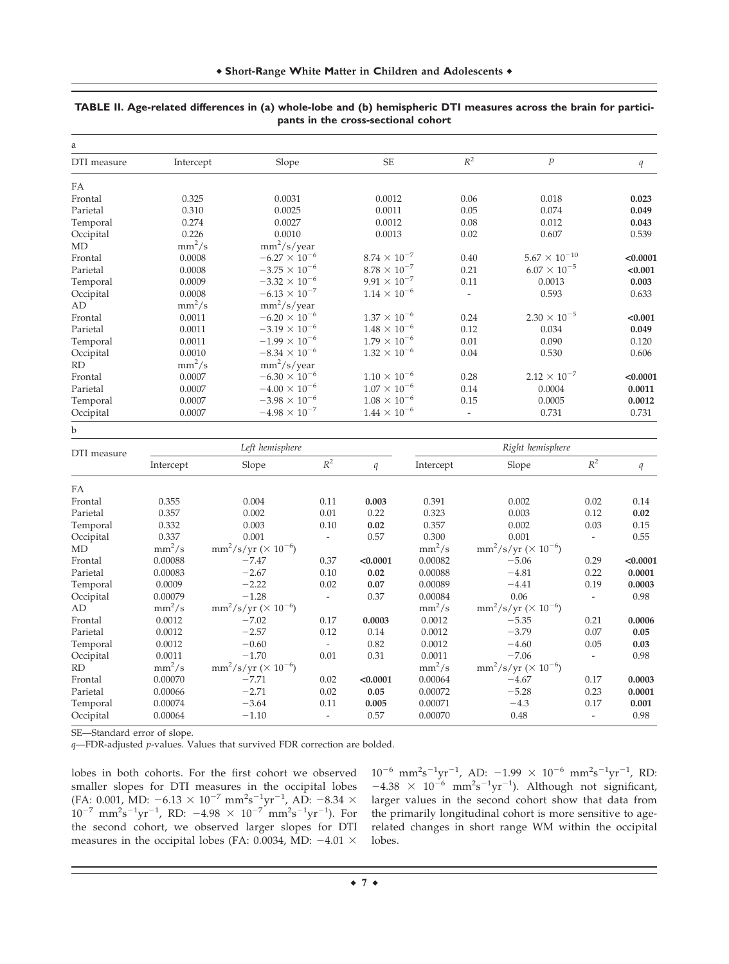| a           |                                  |                                    |                                                 |                            |                  |                                    |                          |                  |
|-------------|----------------------------------|------------------------------------|-------------------------------------------------|----------------------------|------------------|------------------------------------|--------------------------|------------------|
| DTI measure | Intercept                        | Slope                              |                                                 | $\ensuremath{\mathsf{SE}}$ |                  | $\mathbb{R}^2$                     | $\boldsymbol{P}$         | $\boldsymbol{q}$ |
| FA          |                                  |                                    |                                                 |                            |                  |                                    |                          |                  |
| Frontal     | 0.325<br>0.0031                  |                                    |                                                 | 0.0012                     |                  | 0.06                               | 0.018                    | 0.023            |
| Parietal    | 0.310                            | 0.0025                             |                                                 | 0.0011                     |                  | 0.05                               | 0.074                    | 0.049            |
| Temporal    | 0.274                            | 0.0027                             |                                                 | 0.0012                     |                  | 0.08                               | 0.012                    | 0.043            |
| Occipital   | 0.226                            | 0.0010                             |                                                 | 0.0013                     |                  | 0.02                               | 0.607                    | 0.539            |
| MD          | $mm^2/s$                         | $mm^2/s/year$                      |                                                 |                            |                  |                                    |                          |                  |
| Frontal     | $-6.27 \times 10^{-6}$<br>0.0008 |                                    | $8.74\,\times\,10^{-7}$                         |                            |                  | 0.40                               | $5.67\times10^{-10}$     | < 0.0001         |
| Parietal    | $-3.75 \times 10^{-6}$<br>0.0008 |                                    |                                                 | $8.78\,\times\,10^{-7}$    |                  | 0.21                               | $6.07 \times 10^{-5}$    | < 0.001          |
| Temporal    | $-3.32 \times 10^{-6}$<br>0.0009 |                                    |                                                 | $9.91\,\times\,10^{-7}$    |                  | 0.11                               | 0.0013                   | 0.003            |
| Occipital   | $-6.13 \times 10^{-7}$<br>0.0008 |                                    |                                                 | $1.14 \times 10^{-6}$      |                  | $\overline{\phantom{a}}$           | 0.593                    |                  |
| AD          | $mm^2/s$                         | $mm^2/s/year$                      |                                                 |                            |                  |                                    |                          |                  |
| Frontal     | 0.0011                           | $-6.20 \times 10^{-6}$             |                                                 | $1.37\times10^{-6}$        |                  | 0.24                               | $2.30 \times 10^{-5}$    | < 0.001          |
| Parietal    | 0.0011                           |                                    | $-3.19 \times 10^{-6}$<br>$1.48 \times 10^{-6}$ |                            |                  | 0.12                               | 0.034                    |                  |
| Temporal    | 0.0011                           | $-1.99 \times 10^{-6}$             | $1.79 \times 10^{-6}$                           |                            |                  | 0.01                               | 0.090                    |                  |
| Occipital   | 0.0010                           | $-8.34 \times 10^{-6}$             |                                                 | $1.32 \times 10^{-6}$      |                  | 0.04                               | 0.530                    |                  |
| <b>RD</b>   | $mm^2/s$                         | $mm^2/s/year$                      |                                                 |                            |                  |                                    |                          | 0.606            |
| Frontal     | $-6.30 \times 10^{-6}$<br>0.0007 |                                    |                                                 | $1.10\times10^{-6}$        |                  | 0.28                               | $2.12 \times 10^{-7}$    |                  |
| Parietal    | $-4.00 \times 10^{-6}$<br>0.0007 |                                    | $1.07 \times 10^{-6}$                           |                            |                  | 0.14                               | 0.0004                   |                  |
| Temporal    | $-3.98 \times 10^{-6}$<br>0.0007 |                                    | $1.08 \times 10^{-6}$                           |                            |                  | 0.15                               | 0.0005                   |                  |
| Occipital   | $-4.98 \times 10^{-7}$<br>0.0007 |                                    |                                                 | $1.44 \times 10^{-6}$      |                  | $\overline{\phantom{a}}$           | 0.731                    |                  |
| b           |                                  |                                    |                                                 |                            |                  |                                    |                          |                  |
| DTI measure | Left hemisphere                  |                                    |                                                 |                            | Right hemisphere |                                    |                          |                  |
|             | Intercept                        | Slope                              | $\mathbb{R}^2$                                  | $\boldsymbol{q}$           | Intercept        | Slope                              | $\mathbb{R}^2$           | q                |
| FA          |                                  |                                    |                                                 |                            |                  |                                    |                          |                  |
| Frontal     | 0.355                            | 0.004                              | 0.11                                            | 0.003                      | 0.391            | 0.002                              | 0.02                     | 0.14             |
| Parietal    | 0.357                            | 0.002                              | 0.01                                            | 0.22                       | 0.323            | 0.003                              | 0.12                     | 0.02             |
| Temporal    | 0.332                            | 0.003                              | 0.10                                            | $0.02\,$                   | 0.357            | 0.002                              | 0.03                     | 0.15             |
| Occipital   | 0.337                            | 0.001                              | $\equiv$                                        | 0.57                       | 0.300            | 0.001                              | $\overline{\phantom{a}}$ | 0.55             |
| MD          | $mm^2/s$                         | $mm^2/s/yr~(\times~10^{-6})$       |                                                 |                            | $mm^2/s$         | $mm^2/s/yr \ ( \times 10^{-6} )$   |                          |                  |
| Frontal     | 0.00088                          | $-7.47$                            | 0.37                                            | < 0.0001                   | 0.00082          | $-5.06$                            | 0.29                     | < 0.0001         |
| Parietal    | 0.00083                          | $-2.67$                            | 0.10                                            | 0.02                       | 0.00088          | $-4.81$                            | 0.22                     | 0.0001           |
| Temporal    | 0.0009                           | $-2.22$                            | 0.02                                            | $0.07\,$                   | 0.00089          | $-4.41$                            | 0.19                     | 0.0003           |
| Occipital   | 0.00079                          | $-1.28$                            | $\overline{\phantom{a}}$                        | 0.37                       | 0.00084          | 0.06                               | $\frac{1}{2}$            | 0.98             |
| AD          | $mm^2/s$                         | $mm^2/s/yr \; (\times \; 10^{-6})$ |                                                 |                            | $mm^2/s$         | $mm^2/s/yr \; (\times \; 10^{-6})$ |                          |                  |
| Frontal     | 0.0012                           | $-7.02$                            | 0.17                                            | 0.0003                     | 0.0012           | $-5.35$                            | 0.21                     | 0.0006           |
| Parietal    | 0.0012                           | $-2.57$                            | 0.12                                            | 0.14                       | 0.0012           | $-3.79$                            | 0.07                     | 0.05             |
| Temporal    | 0.0012                           | $-0.60$                            | $\overline{\phantom{a}}$                        | 0.82                       | 0.0012           | $-4.60$                            | 0.05                     | 0.03             |
| Occipital   | 0.0011                           | $-1.70$                            | 0.01                                            | 0.31                       | 0.0011           | $-7.06$                            | $\frac{1}{2}$            | 0.98             |

## **TABLE II. Age-related differences in (a) whole-lobe and (b) hemispheric DTI measures across the brain for participants in the cross-sectional cohort**

SE—Standard error of slope.

 $RD$  mm<sup>2</sup>/s

q-FDR-adjusted p-values. Values that survived FDR correction are bolded.

 $\text{/s}$  mm<sup>2</sup>/s/yr ( $\times 10^{-6}$ )

lobes in both cohorts. For the first cohort we observed smaller slopes for DTI measures in the occipital lobes (FA: 0.001, MD:  $-6.13 \times 10^{-7}$  mm<sup>2</sup>s<sup>-1</sup>yr<sup>-1</sup>, AD:  $-8.34 \times$  $10^{-7}$  mm<sup>2</sup>s<sup>-1</sup>yr<sup>-1</sup>, RD: -4.98  $\times$  10<sup>-7</sup> mm<sup>2</sup>s<sup>-1</sup>yr<sup>-1</sup>). For the second cohort, we observed larger slopes for DTI measures in the occipital lobes (FA: 0.0034, MD:  $-4.01 \times$ 

 $10^{-6}$  mm<sup>2</sup>s<sup>-1</sup>yr<sup>-1</sup>, AD: -1.99 × 10<sup>-6</sup> mm<sup>2</sup>s<sup>-1</sup>yr<sup>-1</sup>, RD:  $-4.38 \times 10^{-6}$  mm<sup>2</sup>s<sup>-1</sup>yr<sup>-1</sup>). Although not significant, larger values in the second cohort show that data from the primarily longitudinal cohort is more sensitive to agerelated changes in short range WM within the occipital lobes.

 $\sinh^2/s / \text{yr} \ (2.10^{-6})$ 

 $mm^2$ /s

Frontal  $0.00070$   $-7.71$   $0.02$   $< 0.0004$   $-4.67$   $0.17$   $0.0003$ Parietal  $0.00066$   $-2.71$   $0.02$   $0.05$   $0.00072$   $-5.28$   $0.23$   $0.0001$ Temporal 0.00074  $-3.64$  0.11 **0.005** 0.00071  $-4.3$  0.17 **0.001** Occipital 0.00064 -1.10 - 0.57 0.00070 0.48 - 0.98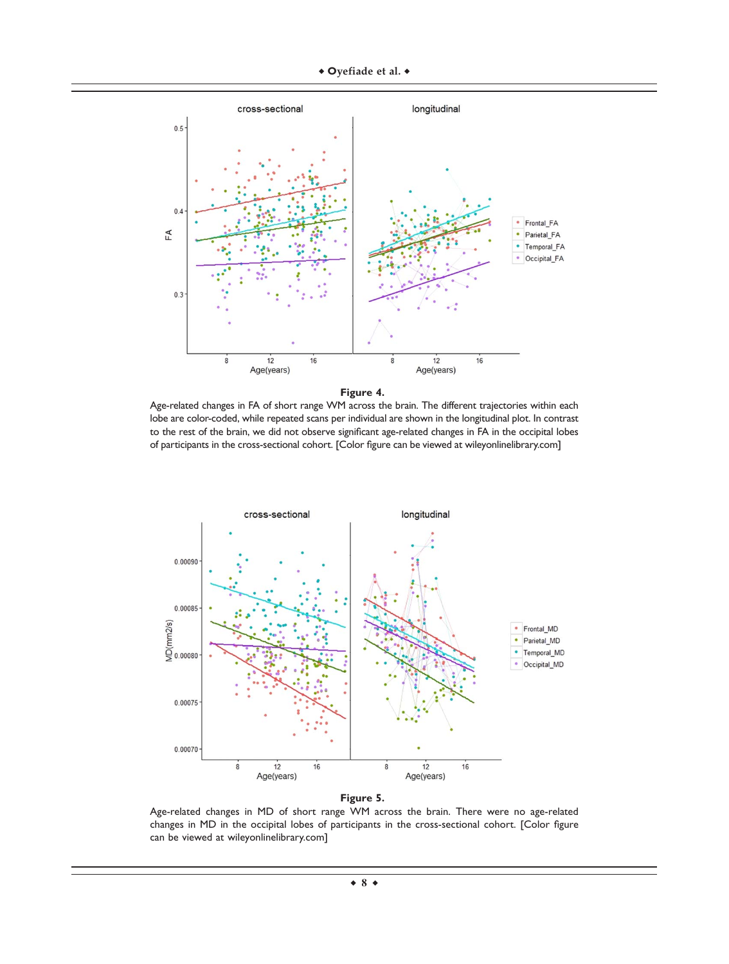

## **Figure 4.**

Age-related changes in FA of short range WM across the brain. The different trajectories within each lobe are color-coded, while repeated scans per individual are shown in the longitudinal plot. In contrast to the rest of the brain, we did not observe significant age-related changes in FA in the occipital lobes of participants in the cross-sectional cohort. [Color figure can be viewed at [wileyonlinelibrary.com\]](http://wileyonlinelibrary.com)





Age-related changes in MD of short range WM across the brain. There were no age-related changes in MD in the occipital lobes of participants in the cross-sectional cohort. [Color figure can be viewed at [wileyonlinelibrary.com](http://wileyonlinelibrary.com)]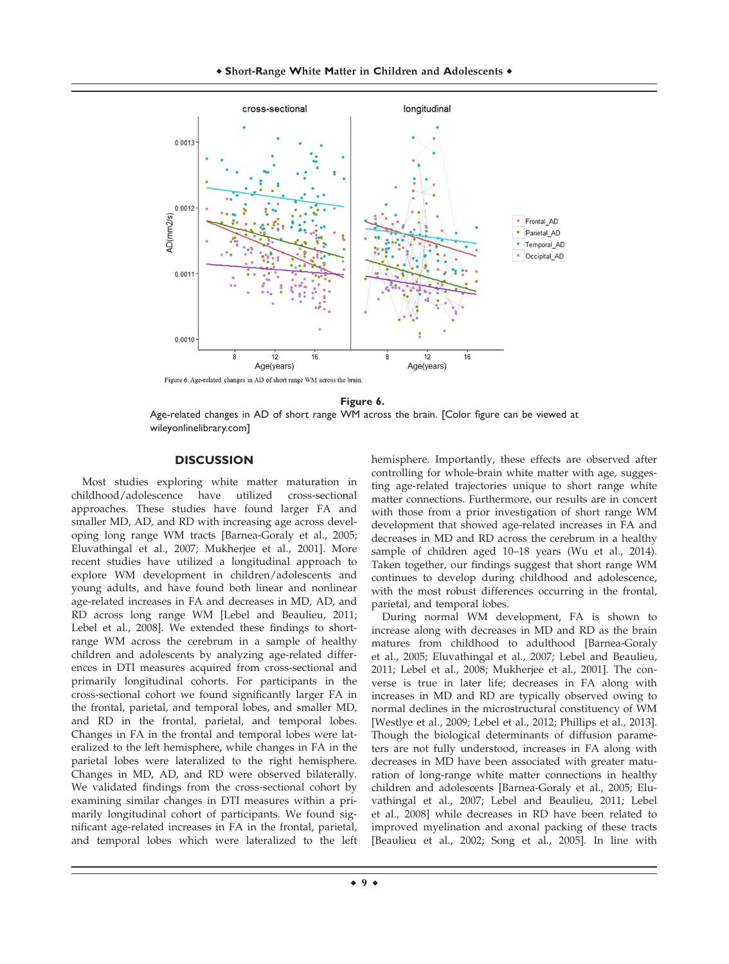

**Figure 6.** Age-related changes in AD of short range WM across the brain. [Color figure can be viewed at [wileyonlinelibrary.com](http://wileyonlinelibrary.com)]

#### **DISCUSSION**

Most studies exploring white matter maturation in childhood/adolescence have utilized cross-sectional approaches. These studies have found larger FA and smaller MD, AD, and RD with increasing age across developing long range WM tracts [Barnea-Goraly et al., 2005; Eluvathingal et al., 2007; Mukherjee et al., 2001]. More recent studies have utilized a longitudinal approach to explore WM development in children/adolescents and young adults, and have found both linear and nonlinear age-related increases in FA and decreases in MD, AD, and RD across long range WM [Lebel and Beaulieu, 2011; Lebel et al., 2008]. We extended these findings to shortrange WM across the cerebrum in a sample of healthy children and adolescents by analyzing age-related differences in DTI measures acquired from cross-sectional and primarily longitudinal cohorts. For participants in the cross-sectional cohort we found significantly larger FA in the frontal, parietal, and temporal lobes, and smaller MD, and RD in the frontal, parietal, and temporal lobes. Changes in FA in the frontal and temporal lobes were lateralized to the left hemisphere, while changes in FA in the parietal lobes were lateralized to the right hemisphere. Changes in MD, AD, and RD were observed bilaterally. We validated findings from the cross-sectional cohort by examining similar changes in DTI measures within a primarily longitudinal cohort of participants. We found significant age-related increases in FA in the frontal, parietal, and temporal lobes which were lateralized to the left

hemisphere. Importantly, these effects are observed after controlling for whole-brain white matter with age, suggesting age-related trajectories unique to short range white matter connections. Furthermore, our results are in concert with those from a prior investigation of short range WM development that showed age-related increases in FA and decreases in MD and RD across the cerebrum in a healthy sample of children aged 10-18 years (Wu et al., 2014). Taken together, our findings suggest that short range WM continues to develop during childhood and adolescence, with the most robust differences occurring in the frontal, parietal, and temporal lobes.

During normal WM development, FA is shown to increase along with decreases in MD and RD as the brain matures from childhood to adulthood [Barnea-Goraly et al., 2005; Eluvathingal et al., 2007; Lebel and Beaulieu, 2011; Lebel et al., 2008; Mukherjee et al., 2001]. The converse is true in later life; decreases in FA along with increases in MD and RD are typically observed owing to normal declines in the microstructural constituency of WM [Westlye et al., 2009; Lebel et al., 2012; Phillips et al., 2013]. Though the biological determinants of diffusion parameters are not fully understood, increases in FA along with decreases in MD have been associated with greater maturation of long-range white matter connections in healthy children and adolescents [Barnea-Goraly et al., 2005; Eluvathingal et al., 2007; Lebel and Beaulieu, 2011; Lebel et al., 2008] while decreases in RD have been related to improved myelination and axonal packing of these tracts [Beaulieu et al., 2002; Song et al., 2005]. In line with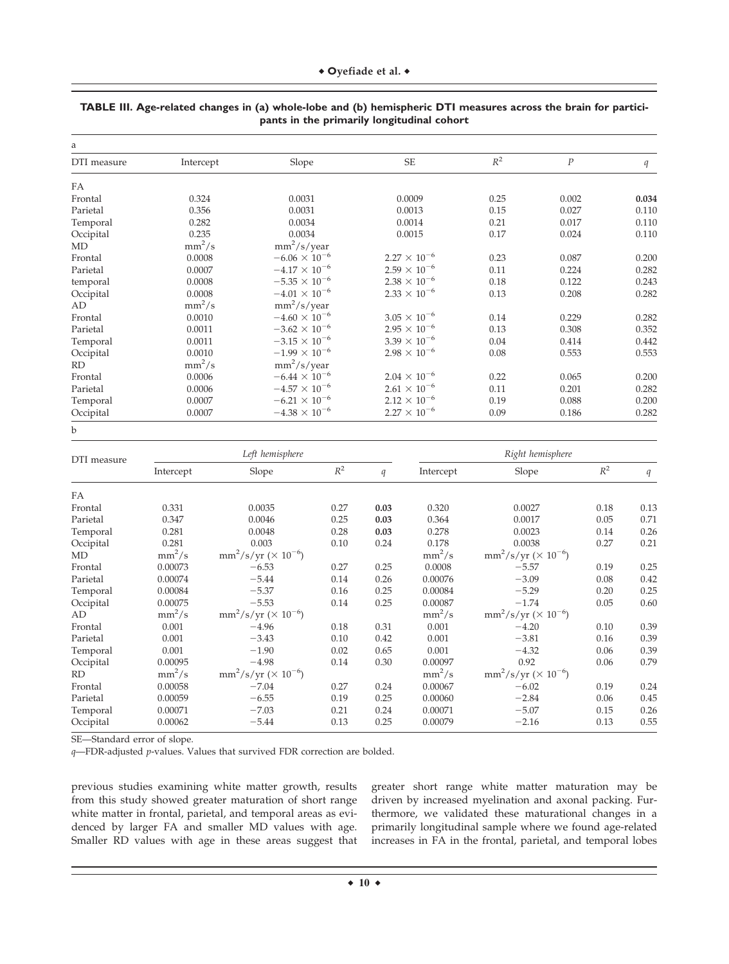| a                        |          |                        |                       |       |                  |       |  |  |  |
|--------------------------|----------|------------------------|-----------------------|-------|------------------|-------|--|--|--|
| DTI measure<br>Intercept |          | Slope                  | <b>SE</b>             | $R^2$ | $\boldsymbol{P}$ | q     |  |  |  |
| FA                       |          |                        |                       |       |                  |       |  |  |  |
| Frontal                  | 0.324    | 0.0031                 | 0.0009                | 0.25  | 0.002            | 0.034 |  |  |  |
| Parietal                 | 0.356    | 0.0031                 | 0.0013                | 0.15  | 0.027            | 0.110 |  |  |  |
| Temporal                 | 0.282    | 0.0034                 | 0.0014                | 0.21  | 0.017            | 0.110 |  |  |  |
| Occipital                | 0.235    | 0.0034                 | 0.0015                | 0.17  | 0.024            | 0.110 |  |  |  |
| MD                       | $mm^2/s$ | $mm^2/s/year$          |                       |       |                  |       |  |  |  |
| Frontal                  | 0.0008   | $-6.06 \times 10^{-6}$ | $2.27 \times 10^{-6}$ | 0.23  | 0.087            | 0.200 |  |  |  |
| Parietal                 | 0.0007   | $-4.17 \times 10^{-6}$ | $2.59 \times 10^{-6}$ | 0.11  | 0.224            | 0.282 |  |  |  |
| temporal                 | 0.0008   | $-5.35 \times 10^{-6}$ | $2.38 \times 10^{-6}$ | 0.18  | 0.122            | 0.243 |  |  |  |
| Occipital                | 0.0008   | $-4.01 \times 10^{-6}$ | $2.33 \times 10^{-6}$ | 0.13  | 0.208            | 0.282 |  |  |  |
| AD                       | $mm^2/s$ | $mm^2/s/year$          |                       |       |                  |       |  |  |  |
| Frontal                  | 0.0010   | $-4.60 \times 10^{-6}$ | $3.05\times10^{-6}$   | 0.14  | 0.229            | 0.282 |  |  |  |
| Parietal                 | 0.0011   | $-3.62\times10^{-6}$   | $2.95 \times 10^{-6}$ | 0.13  | 0.308            | 0.352 |  |  |  |
| Temporal                 | 0.0011   | $-3.15 \times 10^{-6}$ | $3.39 \times 10^{-6}$ | 0.04  | 0.414            | 0.442 |  |  |  |
| Occipital                | 0.0010   | $-1.99 \times 10^{-6}$ | $2.98 \times 10^{-6}$ | 0.08  | 0.553            | 0.553 |  |  |  |
| <b>RD</b>                | $mm^2/s$ | $mm^2/s/year$          |                       |       |                  |       |  |  |  |
| Frontal                  | 0.0006   | $-6.44 \times 10^{-6}$ | $2.04 \times 10^{-6}$ | 0.22  | 0.065            | 0.200 |  |  |  |
| Parietal                 | 0.0006   | $-4.57 \times 10^{-6}$ | $2.61 \times 10^{-6}$ | 0.11  | 0.201            | 0.282 |  |  |  |
| Temporal                 | 0.0007   | $-6.21 \times 10^{-6}$ | $2.12 \times 10^{-6}$ | 0.19  | 0.088            | 0.200 |  |  |  |
| Occipital                | 0.0007   | $-4.38 \times 10^{-6}$ | $2.27 \times 10^{-6}$ | 0.09  | 0.186            | 0.282 |  |  |  |
| b                        |          |                        |                       |       |                  |       |  |  |  |

## **TABLE III. Age-related changes in (a) whole-lobe and (b) hemispheric DTI measures across the brain for participants in the primarily longitudinal cohort**

| DTI measure |           | Left hemisphere                 |       |                  |           | Right hemisphere                   |       |                  |  |
|-------------|-----------|---------------------------------|-------|------------------|-----------|------------------------------------|-------|------------------|--|
|             | Intercept | Slope                           | $R^2$ | $\boldsymbol{q}$ | Intercept | Slope                              | $R^2$ | $\boldsymbol{q}$ |  |
| FA          |           |                                 |       |                  |           |                                    |       |                  |  |
| Frontal     | 0.331     | 0.0035                          | 0.27  | 0.03             | 0.320     | 0.0027                             | 0.18  | 0.13             |  |
| Parietal    | 0.347     | 0.0046                          | 0.25  | 0.03             | 0.364     | 0.0017                             | 0.05  | 0.71             |  |
| Temporal    | 0.281     | 0.0048                          | 0.28  | 0.03             | 0.278     | 0.0023                             | 0.14  | 0.26             |  |
| Occipital   | 0.281     | 0.003                           | 0.10  | 0.24             | 0.178     | 0.0038                             | 0.27  | 0.21             |  |
| MD          | $mm^2/s$  | $mm^2/s/yr \ ( \times 10^{-6})$ |       |                  | $mm^2/s$  | $mm^2/s/yr \; (\times \; 10^{-6})$ |       |                  |  |
| Frontal     | 0.00073   | $-6.53$                         | 0.27  | 0.25             | 0.0008    | $-5.57$                            | 0.19  | 0.25             |  |
| Parietal    | 0.00074   | $-5.44$                         | 0.14  | 0.26             | 0.00076   | $-3.09$                            | 0.08  | 0.42             |  |
| Temporal    | 0.00084   | $-5.37$                         | 0.16  | 0.25             | 0.00084   | $-5.29$                            | 0.20  | 0.25             |  |
| Occipital   | 0.00075   | $-5.53$                         | 0.14  | 0.25             | 0.00087   | $-1.74$                            | 0.05  | 0.60             |  |
| AD          | $mm^2/s$  | $mm^2/s/yr \ ( \times 10^{-6})$ |       |                  | $mm^2/s$  | $mm^2/s/yr \ ( \times 10^{-6})$    |       |                  |  |
| Frontal     | 0.001     | $-4.96$                         | 0.18  | 0.31             | 0.001     | $-4.20$                            | 0.10  | 0.39             |  |
| Parietal    | 0.001     | $-3.43$                         | 0.10  | 0.42             | 0.001     | $-3.81$                            | 0.16  | 0.39             |  |
| Temporal    | 0.001     | $-1.90$                         | 0.02  | 0.65             | 0.001     | $-4.32$                            | 0.06  | 0.39             |  |
| Occipital   | 0.00095   | $-4.98$                         | 0.14  | 0.30             | 0.00097   | 0.92                               | 0.06  | 0.79             |  |
| RD          | $mm^2/s$  | $mm^2/s/yr \ ( \times 10^{-6})$ |       |                  | $mm^2/s$  | $mm^2/s/yr \ ( \times 10^{-6})$    |       |                  |  |
| Frontal     | 0.00058   | $-7.04$                         | 0.27  | 0.24             | 0.00067   | $-6.02$                            | 0.19  | 0.24             |  |
| Parietal    | 0.00059   | $-6.55$                         | 0.19  | 0.25             | 0.00060   | $-2.84$                            | 0.06  | 0.45             |  |
| Temporal    | 0.00071   | $-7.03$                         | 0.21  | 0.24             | 0.00071   | $-5.07$                            | 0.15  | 0.26             |  |
| Occipital   | 0.00062   | $-5.44$                         | 0.13  | 0.25             | 0.00079   | $-2.16$                            | 0.13  | 0.55             |  |

SE—Standard error of slope.

q-FDR-adjusted p-values. Values that survived FDR correction are bolded.

previous studies examining white matter growth, results from this study showed greater maturation of short range white matter in frontal, parietal, and temporal areas as evidenced by larger FA and smaller MD values with age. Smaller RD values with age in these areas suggest that

greater short range white matter maturation may be driven by increased myelination and axonal packing. Furthermore, we validated these maturational changes in a primarily longitudinal sample where we found age-related increases in FA in the frontal, parietal, and temporal lobes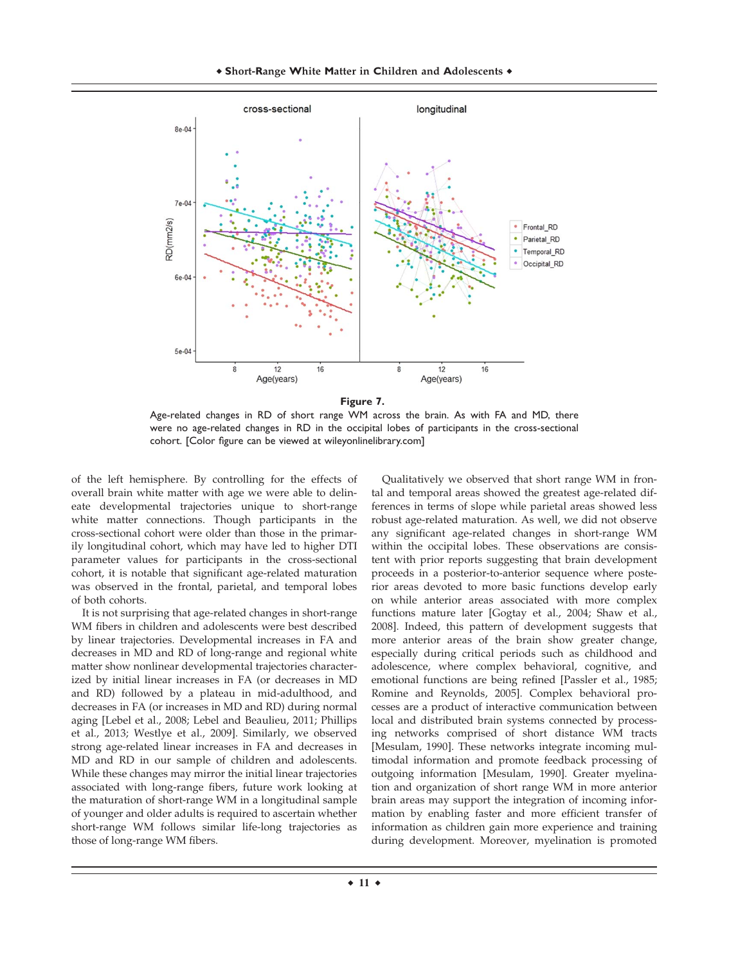

**Figure 7.**

Age-related changes in RD of short range WM across the brain. As with FA and MD, there were no age-related changes in RD in the occipital lobes of participants in the cross-sectional cohort. [Color figure can be viewed at [wileyonlinelibrary.com\]](http://wileyonlinelibrary.com)

of the left hemisphere. By controlling for the effects of overall brain white matter with age we were able to delineate developmental trajectories unique to short-range white matter connections. Though participants in the cross-sectional cohort were older than those in the primarily longitudinal cohort, which may have led to higher DTI parameter values for participants in the cross-sectional cohort, it is notable that significant age-related maturation was observed in the frontal, parietal, and temporal lobes of both cohorts.

It is not surprising that age-related changes in short-range WM fibers in children and adolescents were best described by linear trajectories. Developmental increases in FA and decreases in MD and RD of long-range and regional white matter show nonlinear developmental trajectories characterized by initial linear increases in FA (or decreases in MD and RD) followed by a plateau in mid-adulthood, and decreases in FA (or increases in MD and RD) during normal aging [Lebel et al., 2008; Lebel and Beaulieu, 2011; Phillips et al., 2013; Westlye et al., 2009]. Similarly, we observed strong age-related linear increases in FA and decreases in MD and RD in our sample of children and adolescents. While these changes may mirror the initial linear trajectories associated with long-range fibers, future work looking at the maturation of short-range WM in a longitudinal sample of younger and older adults is required to ascertain whether short-range WM follows similar life-long trajectories as those of long-range WM fibers.

Qualitatively we observed that short range WM in frontal and temporal areas showed the greatest age-related differences in terms of slope while parietal areas showed less robust age-related maturation. As well, we did not observe any significant age-related changes in short-range WM within the occipital lobes. These observations are consistent with prior reports suggesting that brain development proceeds in a posterior-to-anterior sequence where posterior areas devoted to more basic functions develop early on while anterior areas associated with more complex functions mature later [Gogtay et al., 2004; Shaw et al., 2008]. Indeed, this pattern of development suggests that more anterior areas of the brain show greater change, especially during critical periods such as childhood and adolescence, where complex behavioral, cognitive, and emotional functions are being refined [Passler et al., 1985; Romine and Reynolds, 2005]. Complex behavioral processes are a product of interactive communication between local and distributed brain systems connected by processing networks comprised of short distance WM tracts [Mesulam, 1990]. These networks integrate incoming multimodal information and promote feedback processing of outgoing information [Mesulam, 1990]. Greater myelination and organization of short range WM in more anterior brain areas may support the integration of incoming information by enabling faster and more efficient transfer of information as children gain more experience and training during development. Moreover, myelination is promoted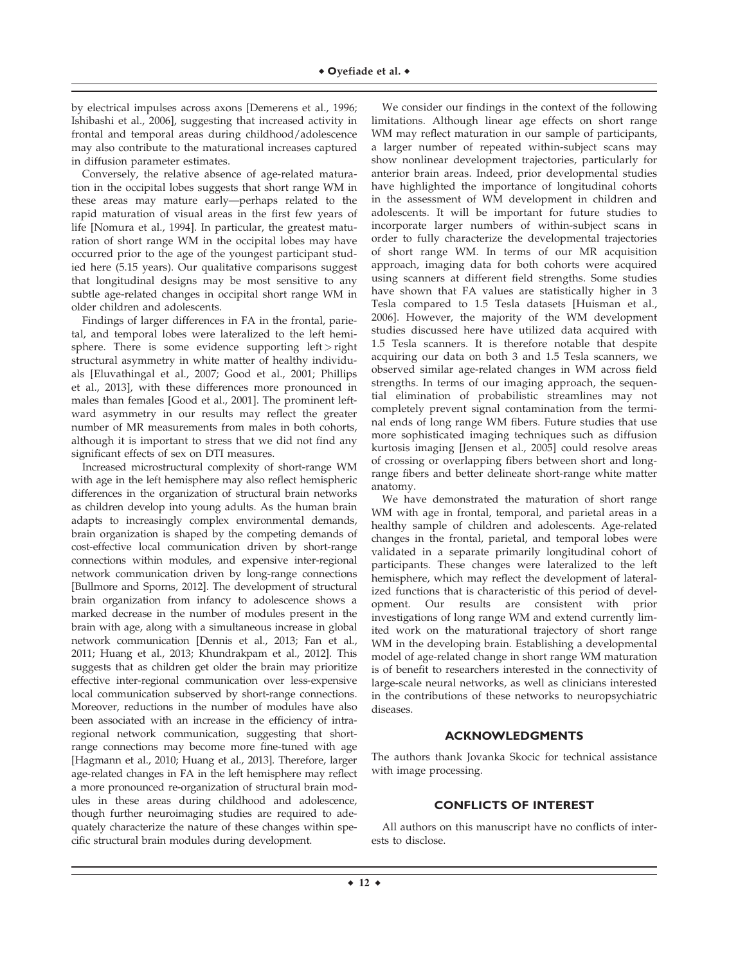by electrical impulses across axons [Demerens et al., 1996; Ishibashi et al., 2006], suggesting that increased activity in frontal and temporal areas during childhood/adolescence may also contribute to the maturational increases captured in diffusion parameter estimates.

Conversely, the relative absence of age-related maturation in the occipital lobes suggests that short range WM in these areas may mature early—perhaps related to the rapid maturation of visual areas in the first few years of life [Nomura et al., 1994]. In particular, the greatest maturation of short range WM in the occipital lobes may have occurred prior to the age of the youngest participant studied here (5.15 years). Our qualitative comparisons suggest that longitudinal designs may be most sensitive to any subtle age-related changes in occipital short range WM in older children and adolescents.

Findings of larger differences in FA in the frontal, parietal, and temporal lobes were lateralized to the left hemisphere. There is some evidence supporting left > right structural asymmetry in white matter of healthy individuals [Eluvathingal et al., 2007; Good et al., 2001; Phillips et al., 2013], with these differences more pronounced in males than females [Good et al., 2001]. The prominent leftward asymmetry in our results may reflect the greater number of MR measurements from males in both cohorts, although it is important to stress that we did not find any significant effects of sex on DTI measures.

Increased microstructural complexity of short-range WM with age in the left hemisphere may also reflect hemispheric differences in the organization of structural brain networks as children develop into young adults. As the human brain adapts to increasingly complex environmental demands, brain organization is shaped by the competing demands of cost-effective local communication driven by short-range connections within modules, and expensive inter-regional network communication driven by long-range connections [Bullmore and Sporns, 2012]. The development of structural brain organization from infancy to adolescence shows a marked decrease in the number of modules present in the brain with age, along with a simultaneous increase in global network communication [Dennis et al., 2013; Fan et al., 2011; Huang et al., 2013; Khundrakpam et al., 2012]. This suggests that as children get older the brain may prioritize effective inter-regional communication over less-expensive local communication subserved by short-range connections. Moreover, reductions in the number of modules have also been associated with an increase in the efficiency of intraregional network communication, suggesting that shortrange connections may become more fine-tuned with age [Hagmann et al., 2010; Huang et al., 2013]. Therefore, larger age-related changes in FA in the left hemisphere may reflect a more pronounced re-organization of structural brain modules in these areas during childhood and adolescence, though further neuroimaging studies are required to adequately characterize the nature of these changes within specific structural brain modules during development.

We consider our findings in the context of the following limitations. Although linear age effects on short range WM may reflect maturation in our sample of participants, a larger number of repeated within-subject scans may show nonlinear development trajectories, particularly for anterior brain areas. Indeed, prior developmental studies have highlighted the importance of longitudinal cohorts in the assessment of WM development in children and adolescents. It will be important for future studies to incorporate larger numbers of within-subject scans in order to fully characterize the developmental trajectories of short range WM. In terms of our MR acquisition approach, imaging data for both cohorts were acquired using scanners at different field strengths. Some studies have shown that FA values are statistically higher in 3 Tesla compared to 1.5 Tesla datasets [Huisman et al., 2006]. However, the majority of the WM development studies discussed here have utilized data acquired with 1.5 Tesla scanners. It is therefore notable that despite acquiring our data on both 3 and 1.5 Tesla scanners, we observed similar age-related changes in WM across field strengths. In terms of our imaging approach, the sequential elimination of probabilistic streamlines may not completely prevent signal contamination from the terminal ends of long range WM fibers. Future studies that use more sophisticated imaging techniques such as diffusion kurtosis imaging [Jensen et al., 2005] could resolve areas of crossing or overlapping fibers between short and longrange fibers and better delineate short-range white matter anatomy.

We have demonstrated the maturation of short range WM with age in frontal, temporal, and parietal areas in a healthy sample of children and adolescents. Age-related changes in the frontal, parietal, and temporal lobes were validated in a separate primarily longitudinal cohort of participants. These changes were lateralized to the left hemisphere, which may reflect the development of lateralized functions that is characteristic of this period of development. Our results are consistent with prior investigations of long range WM and extend currently limited work on the maturational trajectory of short range WM in the developing brain. Establishing a developmental model of age-related change in short range WM maturation is of benefit to researchers interested in the connectivity of large-scale neural networks, as well as clinicians interested in the contributions of these networks to neuropsychiatric diseases.

## **ACKNOWLEDGMENTS**

The authors thank Jovanka Skocic for technical assistance with image processing.

## **CONFLICTS OF INTEREST**

All authors on this manuscript have no conflicts of interests to disclose.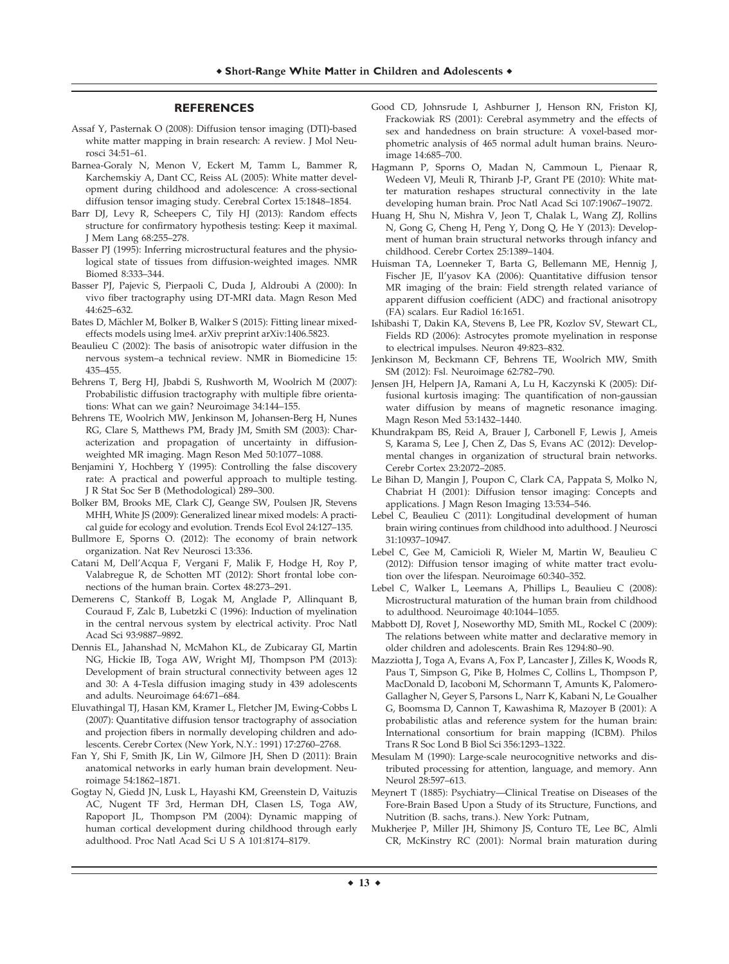#### **REFERENCES**

- Assaf Y, Pasternak O (2008): Diffusion tensor imaging (DTI)-based white matter mapping in brain research: A review. J Mol Neurosci 34:51–61.
- Barnea-Goraly N, Menon V, Eckert M, Tamm L, Bammer R, Karchemskiy A, Dant CC, Reiss AL (2005): White matter development during childhood and adolescence: A cross-sectional diffusion tensor imaging study. Cerebral Cortex 15:1848–1854.
- Barr DJ, Levy R, Scheepers C, Tily HJ (2013): Random effects structure for confirmatory hypothesis testing: Keep it maximal. J Mem Lang 68:255–278.
- Basser PJ (1995): Inferring microstructural features and the physiological state of tissues from diffusion-weighted images. NMR Biomed 8:333–344.
- Basser PJ, Pajevic S, Pierpaoli C, Duda J, Aldroubi A (2000): In vivo fiber tractography using DT-MRI data. Magn Reson Med 44:625–632.
- Bates D, Mächler M, Bolker B, Walker S (2015): Fitting linear mixedeffects models using lme4. arXiv preprint arXiv:1406.5823.
- Beaulieu C (2002): The basis of anisotropic water diffusion in the nervous system–a technical review. NMR in Biomedicine 15: 435–455.
- Behrens T, Berg HJ, Jbabdi S, Rushworth M, Woolrich M (2007): Probabilistic diffusion tractography with multiple fibre orientations: What can we gain? Neuroimage 34:144–155.
- Behrens TE, Woolrich MW, Jenkinson M, Johansen-Berg H, Nunes RG, Clare S, Matthews PM, Brady JM, Smith SM (2003): Characterization and propagation of uncertainty in diffusionweighted MR imaging. Magn Reson Med 50:1077–1088.
- Benjamini Y, Hochberg Y (1995): Controlling the false discovery rate: A practical and powerful approach to multiple testing. J R Stat Soc Ser B (Methodological) 289–300.
- Bolker BM, Brooks ME, Clark CJ, Geange SW, Poulsen JR, Stevens MHH, White JS (2009): Generalized linear mixed models: A practical guide for ecology and evolution. Trends Ecol Evol 24:127–135.
- Bullmore E, Sporns O. (2012): The economy of brain network organization. Nat Rev Neurosci 13:336.
- Catani M, Dell'Acqua F, Vergani F, Malik F, Hodge H, Roy P, Valabregue R, de Schotten MT (2012): Short frontal lobe connections of the human brain. Cortex 48:273–291.
- Demerens C, Stankoff B, Logak M, Anglade P, Allinquant B, Couraud F, Zalc B, Lubetzki C (1996): Induction of myelination in the central nervous system by electrical activity. Proc Natl Acad Sci 93:9887–9892.
- Dennis EL, Jahanshad N, McMahon KL, de Zubicaray GI, Martin NG, Hickie IB, Toga AW, Wright MJ, Thompson PM (2013): Development of brain structural connectivity between ages 12 and 30: A 4-Tesla diffusion imaging study in 439 adolescents and adults. Neuroimage 64:671–684.
- Eluvathingal TJ, Hasan KM, Kramer L, Fletcher JM, Ewing-Cobbs L (2007): Quantitative diffusion tensor tractography of association and projection fibers in normally developing children and adolescents. Cerebr Cortex (New York, N.Y.: 1991) 17:2760–2768.
- Fan Y, Shi F, Smith JK, Lin W, Gilmore JH, Shen D (2011): Brain anatomical networks in early human brain development. Neuroimage 54:1862–1871.
- Gogtay N, Giedd JN, Lusk L, Hayashi KM, Greenstein D, Vaituzis AC, Nugent TF 3rd, Herman DH, Clasen LS, Toga AW, Rapoport JL, Thompson PM (2004): Dynamic mapping of human cortical development during childhood through early adulthood. Proc Natl Acad Sci U S A 101:8174–8179.
- Good CD, Johnsrude I, Ashburner J, Henson RN, Friston KJ, Frackowiak RS (2001): Cerebral asymmetry and the effects of sex and handedness on brain structure: A voxel-based morphometric analysis of 465 normal adult human brains. Neuroimage 14:685–700.
- Hagmann P, Sporns O, Madan N, Cammoun L, Pienaar R, Wedeen VJ, Meuli R, Thiranb J-P, Grant PE (2010): White matter maturation reshapes structural connectivity in the late developing human brain. Proc Natl Acad Sci 107:19067–19072.
- Huang H, Shu N, Mishra V, Jeon T, Chalak L, Wang ZJ, Rollins N, Gong G, Cheng H, Peng Y, Dong Q, He Y (2013): Development of human brain structural networks through infancy and childhood. Cerebr Cortex 25:1389–1404.
- Huisman TA, Loenneker T, Barta G, Bellemann ME, Hennig J, Fischer JE, Il'yasov KA (2006): Quantitative diffusion tensor MR imaging of the brain: Field strength related variance of apparent diffusion coefficient (ADC) and fractional anisotropy (FA) scalars. Eur Radiol 16:1651.
- Ishibashi T, Dakin KA, Stevens B, Lee PR, Kozlov SV, Stewart CL, Fields RD (2006): Astrocytes promote myelination in response to electrical impulses. Neuron 49:823–832.
- Jenkinson M, Beckmann CF, Behrens TE, Woolrich MW, Smith SM (2012): Fsl. Neuroimage 62:782–790.
- Jensen JH, Helpern JA, Ramani A, Lu H, Kaczynski K (2005): Diffusional kurtosis imaging: The quantification of non-gaussian water diffusion by means of magnetic resonance imaging. Magn Reson Med 53:1432–1440.
- Khundrakpam BS, Reid A, Brauer J, Carbonell F, Lewis J, Ameis S, Karama S, Lee J, Chen Z, Das S, Evans AC (2012): Developmental changes in organization of structural brain networks. Cerebr Cortex 23:2072–2085.
- Le Bihan D, Mangin J, Poupon C, Clark CA, Pappata S, Molko N, Chabriat H (2001): Diffusion tensor imaging: Concepts and applications. J Magn Reson Imaging 13:534–546.
- Lebel C, Beaulieu C (2011): Longitudinal development of human brain wiring continues from childhood into adulthood. J Neurosci 31:10937–10947.
- Lebel C, Gee M, Camicioli R, Wieler M, Martin W, Beaulieu C (2012): Diffusion tensor imaging of white matter tract evolution over the lifespan. Neuroimage 60:340–352.
- Lebel C, Walker L, Leemans A, Phillips L, Beaulieu C (2008): Microstructural maturation of the human brain from childhood to adulthood. Neuroimage 40:1044–1055.
- Mabbott DJ, Rovet J, Noseworthy MD, Smith ML, Rockel C (2009): The relations between white matter and declarative memory in older children and adolescents. Brain Res 1294:80–90.
- Mazziotta J, Toga A, Evans A, Fox P, Lancaster J, Zilles K, Woods R, Paus T, Simpson G, Pike B, Holmes C, Collins L, Thompson P, MacDonald D, Iacoboni M, Schormann T, Amunts K, Palomero-Gallagher N, Geyer S, Parsons L, Narr K, Kabani N, Le Goualher G, Boomsma D, Cannon T, Kawashima R, Mazoyer B (2001): A probabilistic atlas and reference system for the human brain: International consortium for brain mapping (ICBM). Philos Trans R Soc Lond B Biol Sci 356:1293–1322.
- Mesulam M (1990): Large-scale neurocognitive networks and distributed processing for attention, language, and memory. Ann Neurol 28:597–613.
- Meynert T (1885): Psychiatry—Clinical Treatise on Diseases of the Fore-Brain Based Upon a Study of its Structure, Functions, and Nutrition (B. sachs, trans.). New York: Putnam,
- Mukherjee P, Miller JH, Shimony JS, Conturo TE, Lee BC, Almli CR, McKinstry RC (2001): Normal brain maturation during